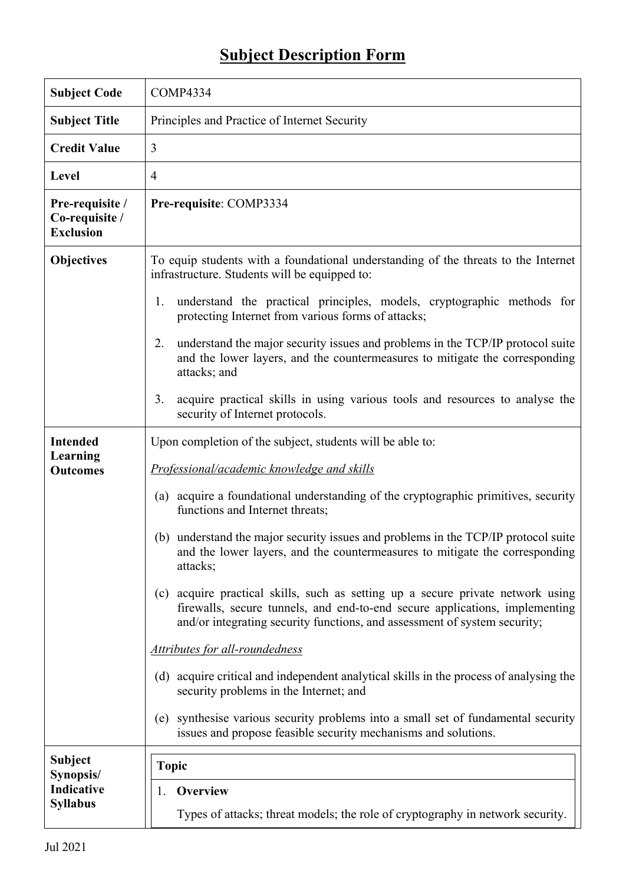## **Subject Description Form**

| <b>Subject Code</b>                                   | COMP4334                                                                                                                                                                                                                                    |  |  |  |  |
|-------------------------------------------------------|---------------------------------------------------------------------------------------------------------------------------------------------------------------------------------------------------------------------------------------------|--|--|--|--|
| <b>Subject Title</b>                                  | Principles and Practice of Internet Security                                                                                                                                                                                                |  |  |  |  |
| <b>Credit Value</b>                                   | 3                                                                                                                                                                                                                                           |  |  |  |  |
| <b>Level</b>                                          | $\overline{4}$                                                                                                                                                                                                                              |  |  |  |  |
| Pre-requisite /<br>Co-requisite /<br><b>Exclusion</b> | Pre-requisite: COMP3334                                                                                                                                                                                                                     |  |  |  |  |
| <b>Objectives</b>                                     | To equip students with a foundational understanding of the threats to the Internet<br>infrastructure. Students will be equipped to:                                                                                                         |  |  |  |  |
|                                                       | understand the practical principles, models, cryptographic methods for<br>1.<br>protecting Internet from various forms of attacks;                                                                                                          |  |  |  |  |
|                                                       | understand the major security issues and problems in the TCP/IP protocol suite<br>2.<br>and the lower layers, and the countermeasures to mitigate the corresponding<br>attacks; and                                                         |  |  |  |  |
|                                                       | acquire practical skills in using various tools and resources to analyse the<br>3.<br>security of Internet protocols.                                                                                                                       |  |  |  |  |
| <b>Intended</b>                                       | Upon completion of the subject, students will be able to:                                                                                                                                                                                   |  |  |  |  |
| Learning<br><b>Outcomes</b>                           | Professional/academic knowledge and skills                                                                                                                                                                                                  |  |  |  |  |
|                                                       | (a) acquire a foundational understanding of the cryptographic primitives, security<br>functions and Internet threats;                                                                                                                       |  |  |  |  |
|                                                       | (b) understand the major security issues and problems in the TCP/IP protocol suite<br>and the lower layers, and the countermeasures to mitigate the corresponding<br>attacks;                                                               |  |  |  |  |
|                                                       | (c) acquire practical skills, such as setting up a secure private network using<br>firewalls, secure tunnels, and end-to-end secure applications, implementing<br>and/or integrating security functions, and assessment of system security; |  |  |  |  |
|                                                       | Attributes for all-roundedness                                                                                                                                                                                                              |  |  |  |  |
|                                                       | (d) acquire critical and independent analytical skills in the process of analysing the<br>security problems in the Internet; and                                                                                                            |  |  |  |  |
|                                                       | (e) synthesise various security problems into a small set of fundamental security<br>issues and propose feasible security mechanisms and solutions.                                                                                         |  |  |  |  |
| <b>Subject</b><br>Synopsis/                           | <b>Topic</b>                                                                                                                                                                                                                                |  |  |  |  |
| Indicative                                            | Overview<br>1.                                                                                                                                                                                                                              |  |  |  |  |
| <b>Syllabus</b>                                       | Types of attacks; threat models; the role of cryptography in network security.                                                                                                                                                              |  |  |  |  |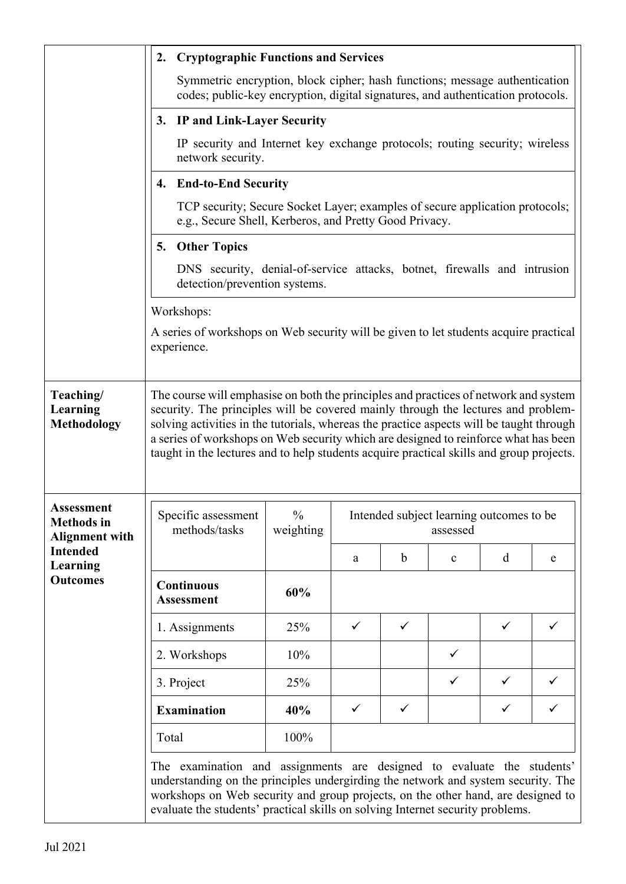|                                                                                                                   | <b>Cryptographic Functions and Services</b><br>2.                                                                                                                                                                                                                                                                                                                                                                                                        |                                                                                                  |                                                      |              |              |              |   |
|-------------------------------------------------------------------------------------------------------------------|----------------------------------------------------------------------------------------------------------------------------------------------------------------------------------------------------------------------------------------------------------------------------------------------------------------------------------------------------------------------------------------------------------------------------------------------------------|--------------------------------------------------------------------------------------------------|------------------------------------------------------|--------------|--------------|--------------|---|
|                                                                                                                   | Symmetric encryption, block cipher; hash functions; message authentication<br>codes; public-key encryption, digital signatures, and authentication protocols.                                                                                                                                                                                                                                                                                            |                                                                                                  |                                                      |              |              |              |   |
|                                                                                                                   | 3. IP and Link-Layer Security                                                                                                                                                                                                                                                                                                                                                                                                                            |                                                                                                  |                                                      |              |              |              |   |
|                                                                                                                   |                                                                                                                                                                                                                                                                                                                                                                                                                                                          | IP security and Internet key exchange protocols; routing security; wireless<br>network security. |                                                      |              |              |              |   |
|                                                                                                                   | 4. End-to-End Security                                                                                                                                                                                                                                                                                                                                                                                                                                   |                                                                                                  |                                                      |              |              |              |   |
|                                                                                                                   | TCP security; Secure Socket Layer; examples of secure application protocols;<br>e.g., Secure Shell, Kerberos, and Pretty Good Privacy.                                                                                                                                                                                                                                                                                                                   |                                                                                                  |                                                      |              |              |              |   |
|                                                                                                                   | <b>Other Topics</b><br>5.                                                                                                                                                                                                                                                                                                                                                                                                                                |                                                                                                  |                                                      |              |              |              |   |
|                                                                                                                   | DNS security, denial-of-service attacks, botnet, firewalls and intrusion<br>detection/prevention systems.                                                                                                                                                                                                                                                                                                                                                |                                                                                                  |                                                      |              |              |              |   |
|                                                                                                                   | Workshops:<br>A series of workshops on Web security will be given to let students acquire practical<br>experience.                                                                                                                                                                                                                                                                                                                                       |                                                                                                  |                                                      |              |              |              |   |
|                                                                                                                   |                                                                                                                                                                                                                                                                                                                                                                                                                                                          |                                                                                                  |                                                      |              |              |              |   |
| Teaching/<br>Learning<br><b>Methodology</b>                                                                       | The course will emphasise on both the principles and practices of network and system<br>security. The principles will be covered mainly through the lectures and problem-<br>solving activities in the tutorials, whereas the practice aspects will be taught through<br>a series of workshops on Web security which are designed to reinforce what has been<br>taught in the lectures and to help students acquire practical skills and group projects. |                                                                                                  |                                                      |              |              |              |   |
| <b>Assessment</b><br><b>Methods</b> in<br><b>Alignment with</b><br><b>Intended</b><br>Learning<br><b>Outcomes</b> | Specific assessment<br>methods/tasks                                                                                                                                                                                                                                                                                                                                                                                                                     | $\frac{0}{0}$<br>weighting                                                                       | Intended subject learning outcomes to be<br>assessed |              |              |              |   |
|                                                                                                                   |                                                                                                                                                                                                                                                                                                                                                                                                                                                          |                                                                                                  | a                                                    | $\mathbf b$  | $\mathbf c$  | d            | e |
|                                                                                                                   | <b>Continuous</b><br><b>Assessment</b>                                                                                                                                                                                                                                                                                                                                                                                                                   | 60%                                                                                              |                                                      |              |              |              |   |
|                                                                                                                   | 1. Assignments                                                                                                                                                                                                                                                                                                                                                                                                                                           | 25%                                                                                              | ✓                                                    | $\checkmark$ |              | ✓            |   |
|                                                                                                                   | 2. Workshops                                                                                                                                                                                                                                                                                                                                                                                                                                             | 10%                                                                                              |                                                      |              | $\checkmark$ |              |   |
|                                                                                                                   | 3. Project                                                                                                                                                                                                                                                                                                                                                                                                                                               | 25%                                                                                              |                                                      |              | ✓            | ✓            |   |
|                                                                                                                   | <b>Examination</b>                                                                                                                                                                                                                                                                                                                                                                                                                                       | 40%                                                                                              | $\checkmark$                                         | ✓            |              | $\checkmark$ | ✓ |
|                                                                                                                   | Total                                                                                                                                                                                                                                                                                                                                                                                                                                                    | 100%                                                                                             |                                                      |              |              |              |   |
|                                                                                                                   | The examination and assignments are designed to evaluate the students'<br>understanding on the principles undergirding the network and system security. The<br>workshops on Web security and group projects, on the other hand, are designed to<br>evaluate the students' practical skills on solving Internet security problems.                                                                                                                        |                                                                                                  |                                                      |              |              |              |   |